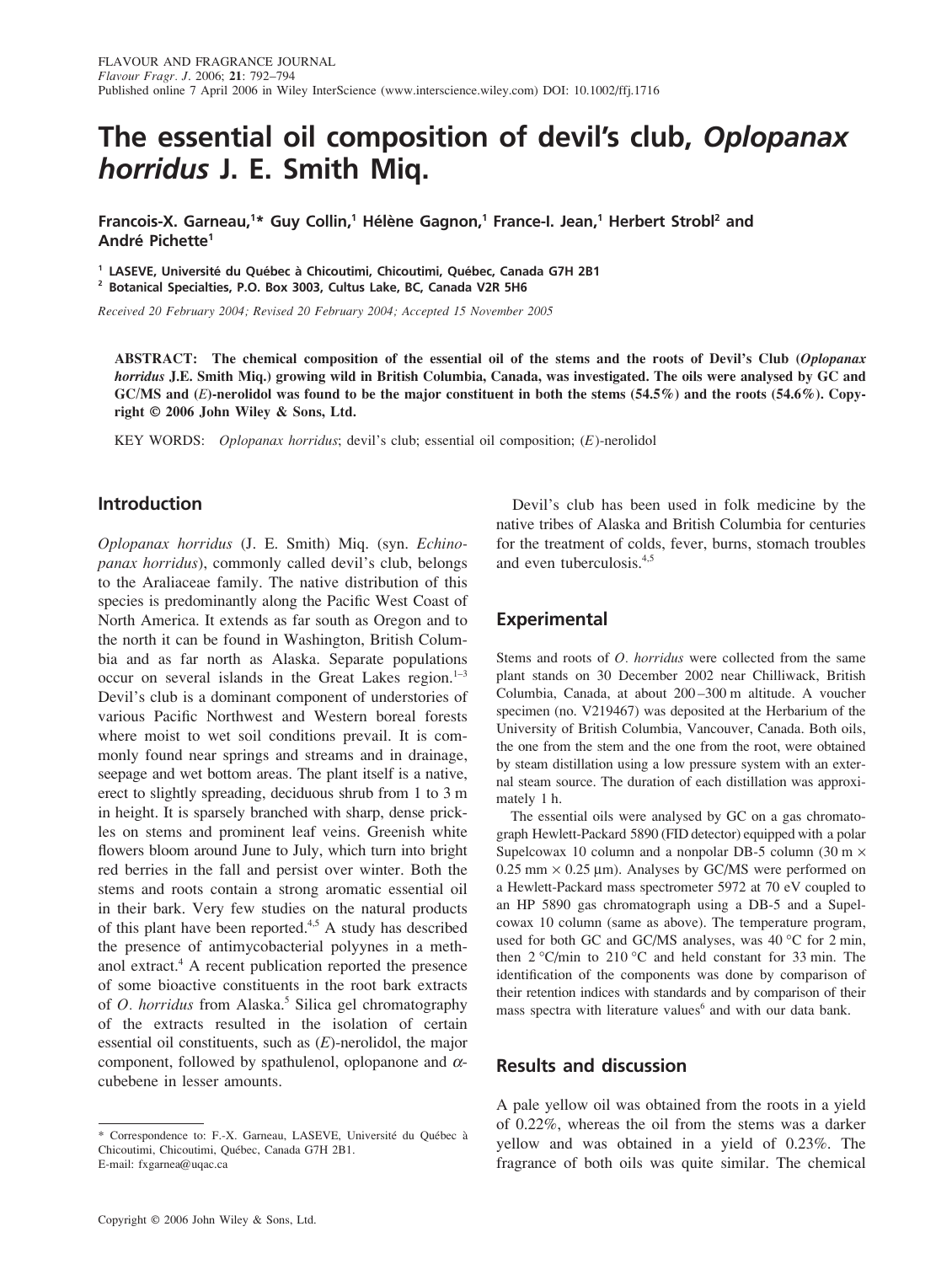# **The essential oil composition of devil's club,** *Oplopanax horridus* **J. E. Smith Miq.**

Francois-X. Garneau,<sup>1\*</sup> Guy Collin,<sup>1</sup> Hélène Gagnon,<sup>1</sup> France-I. Jean,<sup>1</sup> Herbert Strobl<sup>2</sup> and **André Pichette1**

**<sup>1</sup> LASEVE, Université du Québec à Chicoutimi, Chicoutimi, Québec, Canada G7H 2B1 <sup>2</sup> Botanical Specialties, P.O. Box 3003, Cultus Lake, BC, Canada V2R 5H6**

*Received 20 February 2004; Revised 20 February 2004; Accepted 15 November 2005*

**ABSTRACT: The chemical composition of the essential oil of the stems and the roots of Devil's Club (***Oplopanax horridus* **J.E. Smith Miq.) growing wild in British Columbia, Canada, was investigated. The oils were analysed by GC and GC/MS and (***E***)-nerolidol was found to be the major constituent in both the stems (54.5%) and the roots (54.6%). Copyright © 2006 John Wiley & Sons, Ltd.**

KEY WORDS: *Oplopanax horridus*; devil's club; essential oil composition; (*E*)-nerolidol

#### **Introduction**

*Oplopanax horridus* (J. E. Smith) Miq. (syn. *Echinopanax horridus*), commonly called devil's club, belongs to the Araliaceae family. The native distribution of this species is predominantly along the Pacific West Coast of North America. It extends as far south as Oregon and to the north it can be found in Washington, British Columbia and as far north as Alaska. Separate populations occur on several islands in the Great Lakes region. $1-3$ Devil's club is a dominant component of understories of various Pacific Northwest and Western boreal forests where moist to wet soil conditions prevail. It is commonly found near springs and streams and in drainage, seepage and wet bottom areas. The plant itself is a native, erect to slightly spreading, deciduous shrub from 1 to 3 m in height. It is sparsely branched with sharp, dense prickles on stems and prominent leaf veins. Greenish white flowers bloom around June to July, which turn into bright red berries in the fall and persist over winter. Both the stems and roots contain a strong aromatic essential oil in their bark. Very few studies on the natural products of this plant have been reported.<sup>4,5</sup> A study has described the presence of antimycobacterial polyynes in a methanol extract.4 A recent publication reported the presence of some bioactive constituents in the root bark extracts of *O. horridus* from Alaska.<sup>5</sup> Silica gel chromatography of the extracts resulted in the isolation of certain essential oil constituents, such as (*E*)-nerolidol, the major component, followed by spathulenol, oplopanone and  $\alpha$ cubebene in lesser amounts.

Copyright  $©$  2006 John Wiley & Sons, Ltd.

Devil's club has been used in folk medicine by the native tribes of Alaska and British Columbia for centuries for the treatment of colds, fever, burns, stomach troubles and even tuberculosis.4,5

#### **Experimental**

Stems and roots of *O. horridus* were collected from the same plant stands on 30 December 2002 near Chilliwack, British Columbia, Canada, at about 200 –300 m altitude. A voucher specimen (no. V219467) was deposited at the Herbarium of the University of British Columbia, Vancouver, Canada. Both oils, the one from the stem and the one from the root, were obtained by steam distillation using a low pressure system with an external steam source. The duration of each distillation was approximately 1 h.

The essential oils were analysed by GC on a gas chromatograph Hewlett-Packard 5890 (FID detector) equipped with a polar Supelcowax 10 column and a nonpolar DB-5 column (30 m  $\times$  $0.25$  mm  $\times$  0.25 µm). Analyses by GC/MS were performed on a Hewlett-Packard mass spectrometer 5972 at 70 eV coupled to an HP 5890 gas chromatograph using a DB-5 and a Supelcowax 10 column (same as above). The temperature program, used for both GC and GC/MS analyses, was 40 °C for 2 min, then 2 °C/min to 210 °C and held constant for 33 min. The identification of the components was done by comparison of their retention indices with standards and by comparison of their mass spectra with literature values<sup>6</sup> and with our data bank.

### **Results and discussion**

A pale yellow oil was obtained from the roots in a yield of 0.22%, whereas the oil from the stems was a darker yellow and was obtained in a yield of 0.23%. The fragrance of both oils was quite similar. The chemical

<sup>\*</sup> Correspondence to: F.-X. Garneau, LASEVE, Université du Québec à Chicoutimi, Chicoutimi, Québec, Canada G7H 2B1. E-mail: fxgarnea@uqac.ca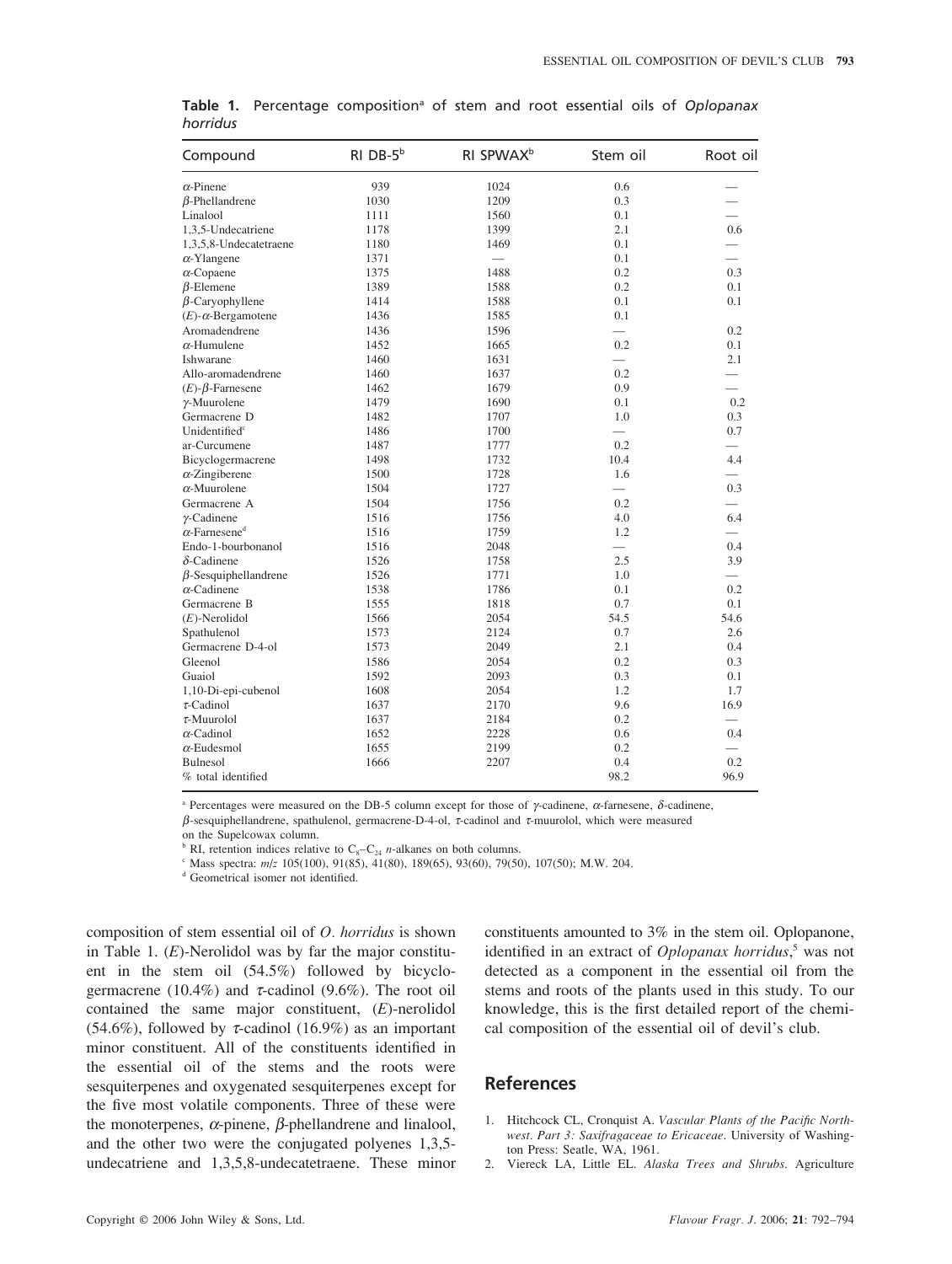| Compound                         | $RI$ DB- $5b$ | RI SPWAX <sup>b</sup> | Stem oil | Root oil |
|----------------------------------|---------------|-----------------------|----------|----------|
| $\alpha$ -Pinene                 | 939           | 1024                  | 0.6      |          |
| $\beta$ -Phellandrene            | 1030          | 1209                  | 0.3      |          |
| Linalool                         | 1111          | 1560                  | 0.1      |          |
| 1,3,5-Undecatriene               | 1178          | 1399                  | 2.1      | 0.6      |
| 1,3,5,8-Undecatetraene           | 1180          | 1469                  | 0.1      |          |
| $\alpha$ -Ylangene               | 1371          | $\frac{1}{2}$         | 0.1      |          |
| $\alpha$ -Copaene                | 1375          | 1488                  | 0.2      | 0.3      |
| $\beta$ -Elemene                 | 1389          | 1588                  | 0.2      | 0.1      |
| $\beta$ -Caryophyllene           | 1414          | 1588                  | 0.1      | 0.1      |
| $(E)$ - $\alpha$ -Bergamotene    | 1436          | 1585                  | 0.1      |          |
| Aromadendrene                    | 1436          | 1596                  |          | 0.2      |
| $\alpha$ -Humulene               | 1452          | 1665                  | 0.2      | 0.1      |
| Ishwarane                        | 1460          | 1631                  |          | 2.1      |
| Allo-aromadendrene               | 1460          | 1637                  | 0.2      |          |
| $(E)$ - $\beta$ -Farnesene       | 1462          | 1679                  | 0.9      |          |
| $\gamma$ -Muurolene              | 1479          | 1690                  | 0.1      | 0.2      |
| Germacrene D                     | 1482          | 1707                  | 1.0      | 0.3      |
| Unidentified <sup>c</sup>        | 1486          | 1700                  |          | 0.7      |
| ar-Curcumene                     | 1487          | 1777                  | 0.2      |          |
| Bicyclogermacrene                | 1498          | 1732                  | 10.4     | 4.4      |
| $\alpha$ -Zingiberene            | 1500          | 1728                  | 1.6      |          |
| $\alpha$ -Muurolene              | 1504          | 1727                  |          | 0.3      |
| Germacrene A                     | 1504          | 1756                  | 0.2      |          |
| $\gamma$ -Cadinene               | 1516          | 1756                  | 4.0      | 6.4      |
| $\alpha$ -Farnesene <sup>d</sup> | 1516          | 1759                  | 1.2      |          |
| Endo-1-bourbonanol               | 1516          | 2048                  |          | 0.4      |
| $\delta$ -Cadinene               | 1526          | 1758                  | 2.5      | 3.9      |
| $\beta$ -Sesquiphellandrene      | 1526          | 1771                  | 1.0      |          |
| $\alpha$ -Cadinene               | 1538          | 1786                  | 0.1      | 0.2      |
| Germacrene B                     | 1555          | 1818                  | 0.7      | 0.1      |
| $(E)$ -Nerolidol                 | 1566          | 2054                  | 54.5     | 54.6     |
| Spathulenol                      | 1573          | 2124                  | 0.7      | 2.6      |
| Germacrene D-4-ol                | 1573          | 2049                  | 2.1      | 0.4      |
| Gleenol                          | 1586          | 2054                  | 0.2      | 0.3      |
| Guaiol                           | 1592          | 2093                  | 0.3      | 0.1      |
| 1,10-Di-epi-cubenol              | 1608          | 2054                  | 1.2      | 1.7      |
| $\tau$ -Cadinol                  | 1637          | 2170                  | 9.6      | 16.9     |
| $\tau$ -Muurolol                 | 1637          | 2184                  | 0.2      |          |
| $\alpha$ -Cadinol                | 1652          | 2228                  | 0.6      | 0.4      |
| $\alpha$ -Eudesmol               | 1655          | 2199                  | 0.2      |          |
| Bulnesol                         | 1666          | 2207                  | 0.4      | 0.2      |
| % total identified               |               |                       | 98.2     | 96.9     |

Table 1. Percentage composition<sup>a</sup> of stem and root essential oils of *Oplopanax horridus*

<sup>a</sup> Percentages were measured on the DB-5 column except for those of γ-cadinene, α-farnesene, δ-cadinene,

β-sesquiphellandrene, spathulenol, germacrene-D-4-ol, τ-cadinol and τ-muurolol, which were measured

on the Supelcowax column.<br>  $\binom{b}{k}$  RI, retention indices relative to C<sub>s</sub>-C<sub>24</sub> *n*-alkanes on both columns.

 $\epsilon$  Mass spectra:  $m/z$  105(100), 91(85), 41(80), 189(65), 93(60), 79(50), 107(50); M.W. 204.

<sup>d</sup> Geometrical isomer not identified.

composition of stem essential oil of *O. horridus* is shown in Table 1. (*E*)-Nerolidol was by far the major constituent in the stem oil (54.5%) followed by bicyclogermacrene (10.4%) and  $\tau$ -cadinol (9.6%). The root oil contained the same major constituent, (*E*)-nerolidol (54.6%), followed by  $\tau$ -cadinol (16.9%) as an important minor constituent. All of the constituents identified in the essential oil of the stems and the roots were sesquiterpenes and oxygenated sesquiterpenes except for the five most volatile components. Three of these were the monoterpenes,  $\alpha$ -pinene,  $\beta$ -phellandrene and linalool, and the other two were the conjugated polyenes 1,3,5 undecatriene and 1,3,5,8-undecatetraene. These minor

constituents amounted to 3% in the stem oil. Oplopanone, identified in an extract of *Oplopanax horridus*, <sup>5</sup> was not detected as a component in the essential oil from the stems and roots of the plants used in this study. To our knowledge, this is the first detailed report of the chemical composition of the essential oil of devil's club.

## **References**

- 1. Hitchcock CL, Cronquist A. *Vascular Plants of the Pacific Northwest. Part 3: Saxifragaceae to Ericaceae*. University of Washington Press: Seatle, WA, 1961.
- 2. Viereck LA, Little EL. *Alaska Trees and Shrubs*. Agriculture